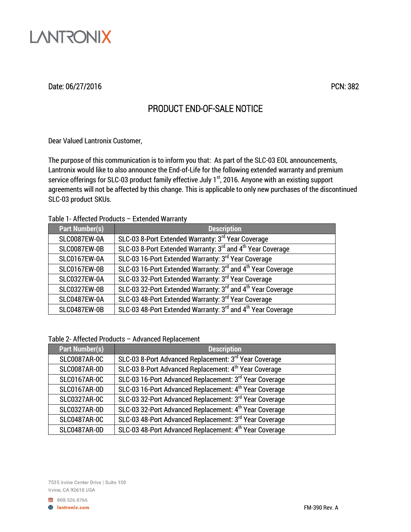

## Date: 06/27/2016 PCN: 382

# PRODUCT END-OF-SALE NOTICE

Dear Valued Lantronix Customer,

The purpose of this communication is to inform you that: As part of the SLC-03 EOL announcements, Lantronix would like to also announce the End-of-Life for the following extended warranty and premium service offerings for SLC-03 product family effective July 1<sup>st</sup>, 2016. Anyone with an existing support agreements will not be affected by this change. This is applicable to only new purchases of the discontinued SLC-03 product SKUs.

#### Table 1- Affected Products – Extended Warranty

| <b>Part Number(s)</b> | <b>Description</b>                                                                  |
|-----------------------|-------------------------------------------------------------------------------------|
| SLC0087EW-0A          | SLC-03 8-Port Extended Warranty: 3rd Year Coverage                                  |
| SLC0087EW-0B          | SLC-03 8-Port Extended Warranty: 3rd and 4 <sup>th</sup> Year Coverage              |
| SLC0167EW-0A          | SLC-03 16-Port Extended Warranty: 3rd Year Coverage                                 |
| SLC0167EW-0B          | SLC-03 16-Port Extended Warranty: 3rd and 4 <sup>th</sup> Year Coverage             |
| <b>SLC0327EW-0A</b>   | SLC-03 32-Port Extended Warranty: 3rd Year Coverage                                 |
| <b>SLC0327EW-0B</b>   | SLC-03 32-Port Extended Warranty: 3 <sup>rd</sup> and 4 <sup>th</sup> Year Coverage |
| SLC0487EW-0A          | SLC-03 48-Port Extended Warranty: 3rd Year Coverage                                 |
| SLC0487EW-0B          | SLC-03 48-Port Extended Warranty: 3rd and 4th Year Coverage                         |

Table 2- Affected Products – Advanced Replacement

| <b>Part Number(s)</b> | <b>Description</b>                                                 |
|-----------------------|--------------------------------------------------------------------|
| <b>SLC0087AR-0C</b>   | SLC-03 8-Port Advanced Replacement: 3rd Year Coverage              |
| <b>SLC0087AR-0D</b>   | SLC-03 8-Port Advanced Replacement: 4 <sup>th</sup> Year Coverage  |
| <b>SLC0167AR-0C</b>   | SLC-03 16-Port Advanced Replacement: 3rd Year Coverage             |
| <b>SLC0167AR-0D</b>   | SLC-03 16-Port Advanced Replacement: 4 <sup>th</sup> Year Coverage |
| <b>SLC0327AR-0C</b>   | SLC-03 32-Port Advanced Replacement: 3rd Year Coverage             |
| <b>SLC0327AR-0D</b>   | SLC-03 32-Port Advanced Replacement: 4 <sup>th</sup> Year Coverage |
| <b>SLC0487AR-0C</b>   | SLC-03 48-Port Advanced Replacement: 3rd Year Coverage             |
| <b>SLC0487AR-0D</b>   | SLC-03 48-Port Advanced Replacement: 4 <sup>th</sup> Year Coverage |

7535 Irvine Center Drive | Suite 100 Irvine, CA 92618 USA

800.526.8766 **B** lantronix.com